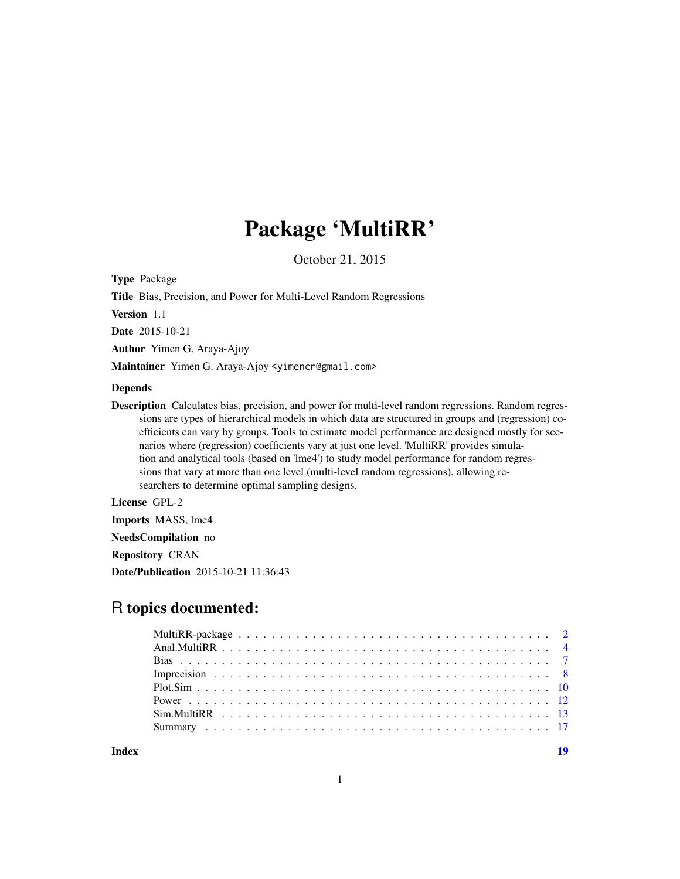## Package 'MultiRR'

October 21, 2015

Type Package

Title Bias, Precision, and Power for Multi-Level Random Regressions

Version 1.1

Date 2015-10-21

Author Yimen G. Araya-Ajoy

Maintainer Yimen G. Araya-Ajoy <yimencr@gmail.com>

## Depends

Description Calculates bias, precision, and power for multi-level random regressions. Random regressions are types of hierarchical models in which data are structured in groups and (regression) coefficients can vary by groups. Tools to estimate model performance are designed mostly for scenarios where (regression) coefficients vary at just one level. 'MultiRR' provides simulation and analytical tools (based on 'lme4') to study model performance for random regressions that vary at more than one level (multi-level random regressions), allowing researchers to determine optimal sampling designs.

## License GPL-2

Imports MASS, lme4

NeedsCompilation no

Repository CRAN

Date/Publication 2015-10-21 11:36:43

## R topics documented:

**Index** 2008 **Index** 2008 **Index**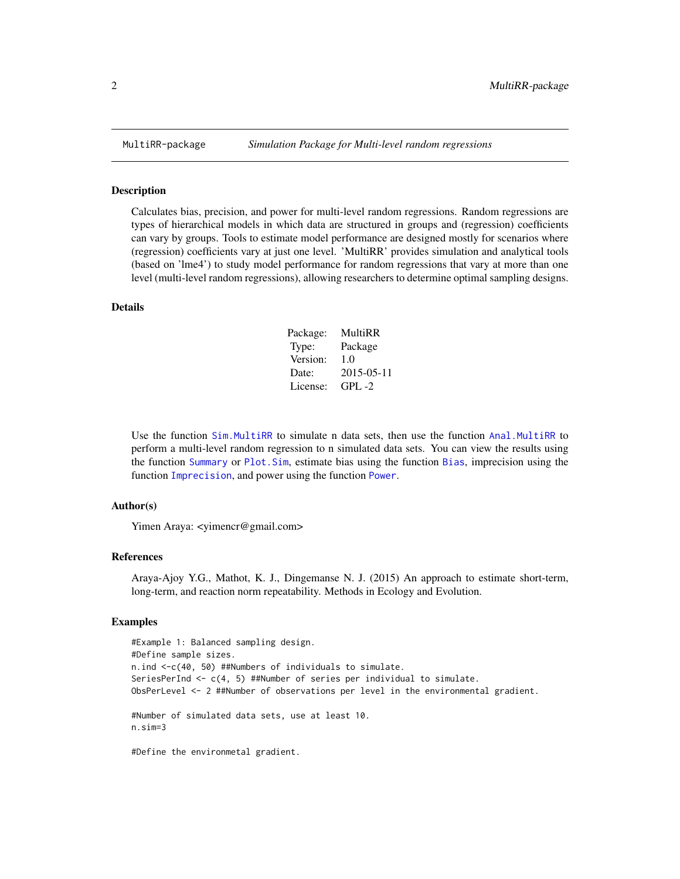#### Description

Calculates bias, precision, and power for multi-level random regressions. Random regressions are types of hierarchical models in which data are structured in groups and (regression) coefficients can vary by groups. Tools to estimate model performance are designed mostly for scenarios where (regression) coefficients vary at just one level. 'MultiRR' provides simulation and analytical tools (based on 'lme4') to study model performance for random regressions that vary at more than one level (multi-level random regressions), allowing researchers to determine optimal sampling designs.

#### Details

| Package: | MultiRR    |
|----------|------------|
| Type:    | Package    |
| Version: | 1.0        |
| Date:    | 2015-05-11 |
| License: | $GPI. -2$  |

Use the function [Sim.MultiRR](#page-12-1) to simulate n data sets, then use the function [Anal.MultiRR](#page-3-1) to perform a multi-level random regression to n simulated data sets. You can view the results using the function [Summary](#page-16-1) or [Plot.Sim](#page-9-1), estimate bias using the function [Bias](#page-6-1), imprecision using the function [Imprecision](#page-7-1), and power using the function [Power](#page-11-1).

## Author(s)

Yimen Araya: <vimencr@gmail.com>

#### References

Araya-Ajoy Y.G., Mathot, K. J., Dingemanse N. J. (2015) An approach to estimate short-term, long-term, and reaction norm repeatability. Methods in Ecology and Evolution.

#### Examples

```
#Example 1: Balanced sampling design.
#Define sample sizes.
n.ind <-c(40, 50) ##Numbers of individuals to simulate.
SeriesPerInd \leq c(4, 5) ##Number of series per individual to simulate.
ObsPerLevel <- 2 ##Number of observations per level in the environmental gradient.
#Number of simulated data sets, use at least 10.
n.sim=3
```
#Define the environmetal gradient.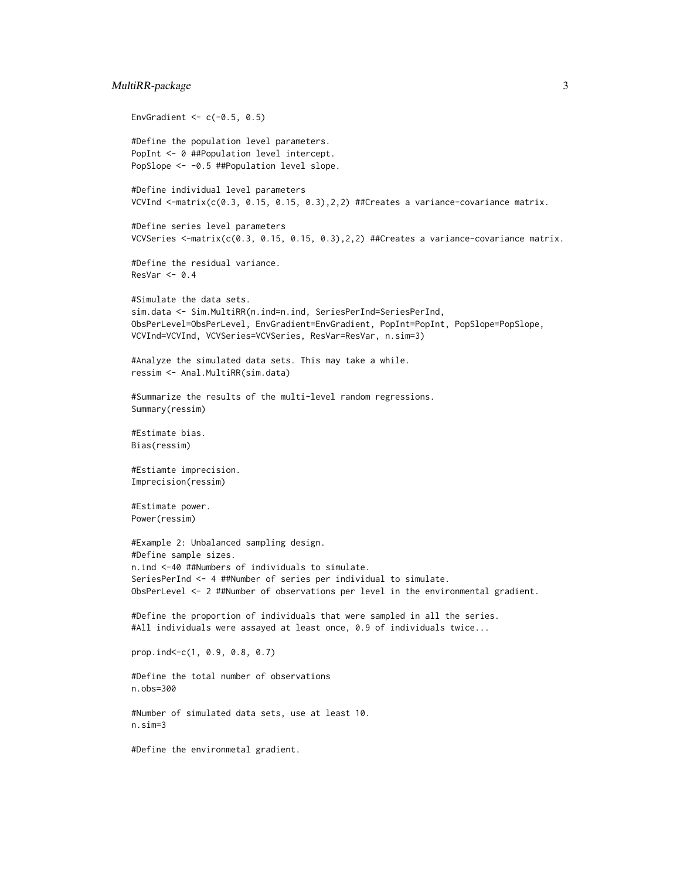## MultiRR-package 3

```
EnvGradient <-c(-0.5, 0.5)#Define the population level parameters.
PopInt <- 0 ##Population level intercept.
PopSlope <- -0.5 ##Population level slope.
#Define individual level parameters
VCVInd \le-matrix(c(0.3, 0.15, 0.15, 0.3),2,2) ##Creates a variance-covariance matrix.
#Define series level parameters
VCVSeries <-matrix(c(0.3, 0.15, 0.15, 0.3),2,2) ##Creates a variance-covariance matrix.
#Define the residual variance.
ResVar < -0.4#Simulate the data sets.
sim.data <- Sim.MultiRR(n.ind=n.ind, SeriesPerInd=SeriesPerInd,
ObsPerLevel=ObsPerLevel, EnvGradient=EnvGradient, PopInt=PopInt, PopSlope=PopSlope,
VCVInd=VCVInd, VCVSeries=VCVSeries, ResVar=ResVar, n.sim=3)
#Analyze the simulated data sets. This may take a while.
ressim <- Anal.MultiRR(sim.data)
#Summarize the results of the multi-level random regressions.
Summary(ressim)
#Estimate bias.
Bias(ressim)
#Estiamte imprecision.
Imprecision(ressim)
#Estimate power.
Power(ressim)
#Example 2: Unbalanced sampling design.
#Define sample sizes.
n.ind <-40 ##Numbers of individuals to simulate.
SeriesPerInd <- 4 ##Number of series per individual to simulate.
ObsPerLevel <- 2 ##Number of observations per level in the environmental gradient.
#Define the proportion of individuals that were sampled in all the series.
#All individuals were assayed at least once, 0.9 of individuals twice...
prop.ind<-c(1, 0.9, 0.8, 0.7)
#Define the total number of observations
n.obs=300
#Number of simulated data sets, use at least 10.
n.sim=3
#Define the environmetal gradient.
```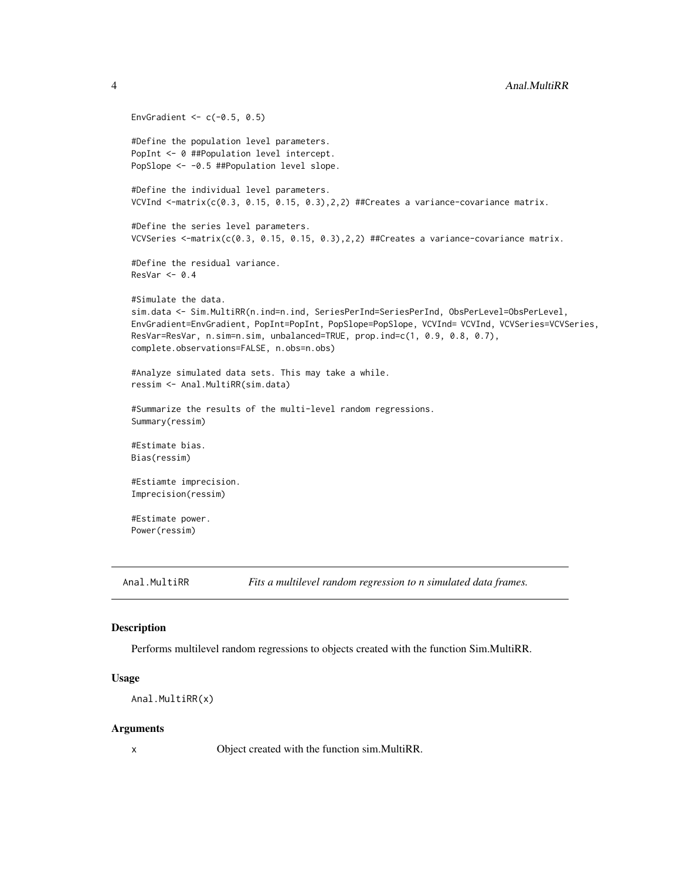```
EnvGradient <-c(-0.5, 0.5)#Define the population level parameters.
PopInt <- 0 ##Population level intercept.
PopSlope <- -0.5 ##Population level slope.
#Define the individual level parameters.
VCVInd \le-matrix(c(0.3, 0.15, 0.15, 0.3),2,2) ##Creates a variance-covariance matrix.
#Define the series level parameters.
VCVSeries <-matrix(c(0.3, 0.15, 0.15, 0.3),2,2) ##Creates a variance-covariance matrix.
#Define the residual variance.
ResVar < -0.4#Simulate the data.
sim.data <- Sim.MultiRR(n.ind=n.ind, SeriesPerInd=SeriesPerInd, ObsPerLevel=ObsPerLevel,
EnvGradient=EnvGradient, PopInt=PopInt, PopSlope=PopSlope, VCVInd= VCVInd, VCVSeries=VCVSeries,
ResVar=ResVar, n.sim=n.sim, unbalanced=TRUE, prop.ind=c(1, 0.9, 0.8, 0.7),
complete.observations=FALSE, n.obs=n.obs)
#Analyze simulated data sets. This may take a while.
ressim <- Anal.MultiRR(sim.data)
#Summarize the results of the multi-level random regressions.
Summary(ressim)
#Estimate bias.
Bias(ressim)
#Estiamte imprecision.
Imprecision(ressim)
#Estimate power.
Power(ressim)
```
<span id="page-3-1"></span>

```
Anal.MultiRR Fits a multilevel random regression to n simulated data frames.
```
## **Description**

Performs multilevel random regressions to objects created with the function Sim.MultiRR.

## Usage

```
Anal.MultiRR(x)
```
## Arguments

x Object created with the function sim.MultiRR.

<span id="page-3-0"></span>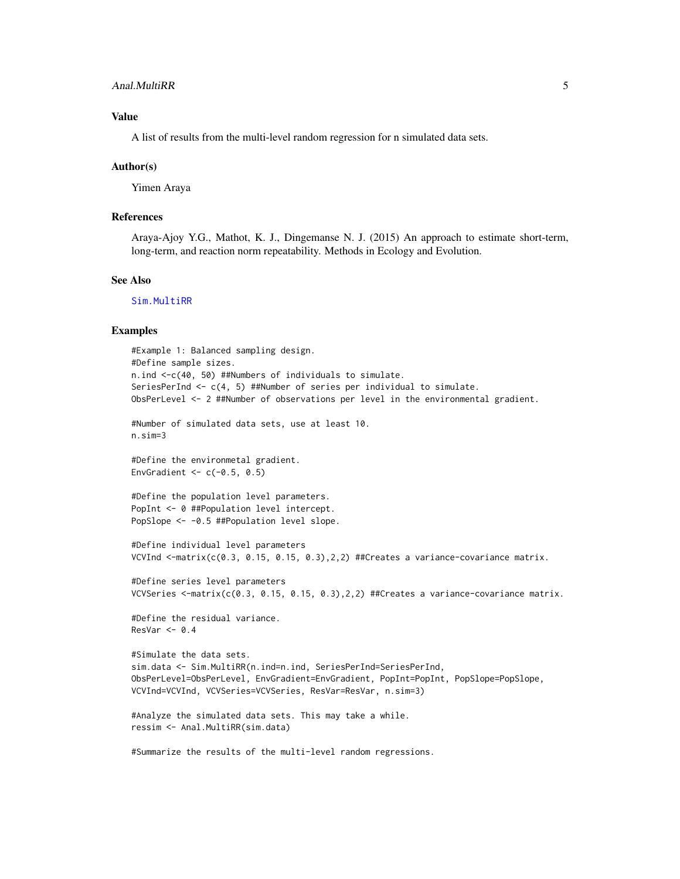## <span id="page-4-0"></span>Anal.MultiRR 5

## Value

A list of results from the multi-level random regression for n simulated data sets.

#### Author(s)

Yimen Araya

## References

Araya-Ajoy Y.G., Mathot, K. J., Dingemanse N. J. (2015) An approach to estimate short-term, long-term, and reaction norm repeatability. Methods in Ecology and Evolution.

#### See Also

[Sim.MultiRR](#page-12-1)

## Examples

```
#Example 1: Balanced sampling design.
#Define sample sizes.
n.ind <-c(40, 50) ##Numbers of individuals to simulate.
SeriesPerInd \leq c(4, 5) ##Number of series per individual to simulate.
ObsPerLevel <- 2 ##Number of observations per level in the environmental gradient.
#Number of simulated data sets, use at least 10.
n.sim=3
#Define the environmetal gradient.
EnvGradient <-c(-0.5, 0.5)#Define the population level parameters.
PopInt <- 0 ##Population level intercept.
PopSlope <- -0.5 ##Population level slope.
#Define individual level parameters
VCVInd \leq-matrix(c(0.3, 0.15, 0.15, 0.3), 2,2) ##Creates a variance-covariance matrix.
#Define series level parameters
VCVSeries <-matrix(c(0.3, 0.15, 0.15, 0.3), 2,2) ##Creates a variance-covariance matrix.
#Define the residual variance.
ResVar < -0.4#Simulate the data sets.
sim.data <- Sim.MultiRR(n.ind=n.ind, SeriesPerInd=SeriesPerInd,
ObsPerLevel=ObsPerLevel, EnvGradient=EnvGradient, PopInt=PopInt, PopSlope=PopSlope,
VCVInd=VCVInd, VCVSeries=VCVSeries, ResVar=ResVar, n.sim=3)
#Analyze the simulated data sets. This may take a while.
ressim <- Anal.MultiRR(sim.data)
```

```
#Summarize the results of the multi-level random regressions.
```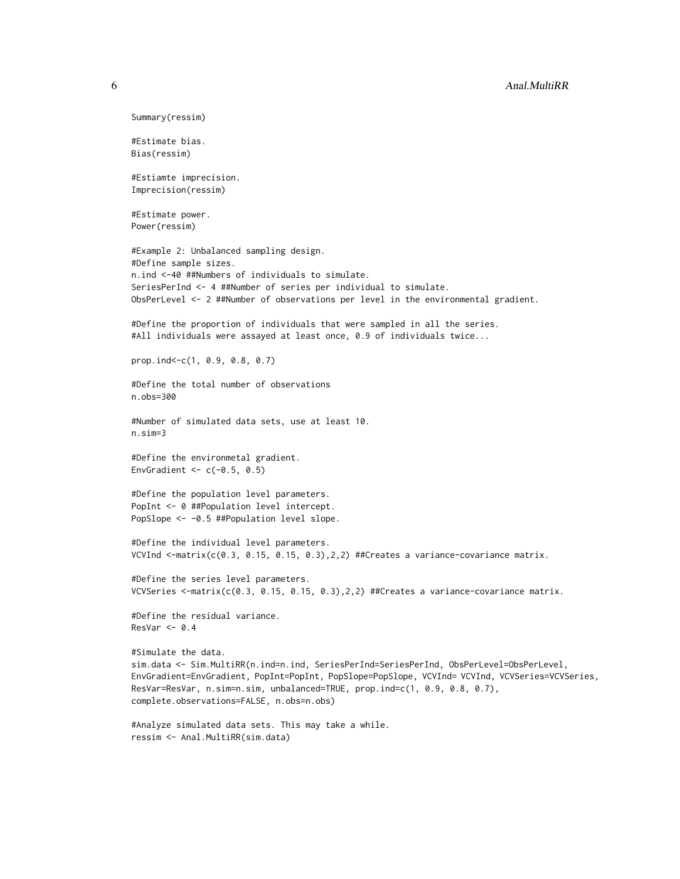```
Summary(ressim)
#Estimate bias.
Bias(ressim)
#Estiamte imprecision.
Imprecision(ressim)
#Estimate power.
Power(ressim)
#Example 2: Unbalanced sampling design.
#Define sample sizes.
n.ind <-40 ##Numbers of individuals to simulate.
SeriesPerInd <- 4 ##Number of series per individual to simulate.
ObsPerLevel <- 2 ##Number of observations per level in the environmental gradient.
#Define the proportion of individuals that were sampled in all the series.
#All individuals were assayed at least once, 0.9 of individuals twice...
prop.ind<-c(1, 0.9, 0.8, 0.7)
#Define the total number of observations
n.obs=300
#Number of simulated data sets, use at least 10.
n.sim=3
#Define the environmetal gradient.
EnvGradient <-c(-0.5, 0.5)#Define the population level parameters.
PopInt <- 0 ##Population level intercept.
PopSlope <- -0.5 ##Population level slope.
#Define the individual level parameters.
VCVInd \leq-matrix(c(0.3, 0.15, 0.15, 0.3),2,2) ##Creates a variance-covariance matrix.
#Define the series level parameters.
VCVSeries \leq-matrix(c(0.3, 0.15, 0.15, 0.3),2,2) ##Creates a variance-covariance matrix.
#Define the residual variance.
ResVar < -0.4#Simulate the data.
sim.data <- Sim.MultiRR(n.ind=n.ind, SeriesPerInd=SeriesPerInd, ObsPerLevel=ObsPerLevel,
EnvGradient=EnvGradient, PopInt=PopInt, PopSlope=PopSlope, VCVInd= VCVInd, VCVSeries=VCVSeries,
ResVar=ResVar, n.sim=n.sim, unbalanced=TRUE, prop.ind=c(1, 0.9, 0.8, 0.7),
complete.observations=FALSE, n.obs=n.obs)
#Analyze simulated data sets. This may take a while.
```

```
ressim <- Anal.MultiRR(sim.data)
```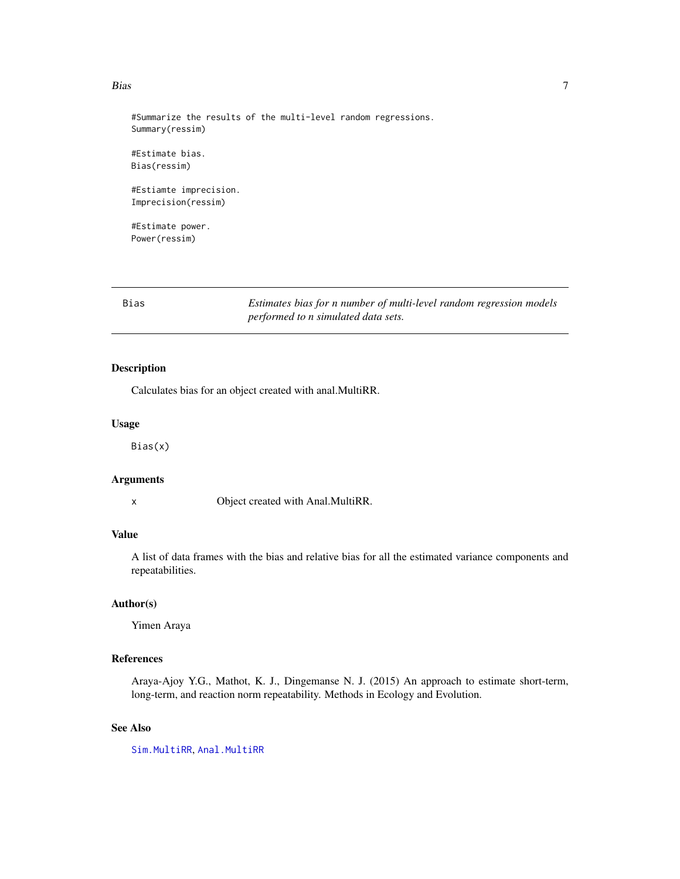#### <span id="page-6-0"></span>Bias 7 and 2012 12:00 the contract of the contract of the contract of the contract of the contract of the contract of the contract of the contract of the contract of the contract of the contract of the contract of the cont

#Summarize the results of the multi-level random regressions. Summary(ressim)

#Estimate bias. Bias(ressim)

#Estiamte imprecision. Imprecision(ressim)

#Estimate power. Power(ressim)

<span id="page-6-1"></span>Bias *Estimates bias for n number of multi-level random regression models performed to n simulated data sets.*

## Description

Calculates bias for an object created with anal.MultiRR.

#### Usage

Bias(x)

#### Arguments

x Object created with Anal.MultiRR.

## Value

A list of data frames with the bias and relative bias for all the estimated variance components and repeatabilities.

## Author(s)

Yimen Araya

## References

Araya-Ajoy Y.G., Mathot, K. J., Dingemanse N. J. (2015) An approach to estimate short-term, long-term, and reaction norm repeatability. Methods in Ecology and Evolution.

## See Also

[Sim.MultiRR](#page-12-1), [Anal.MultiRR](#page-3-1)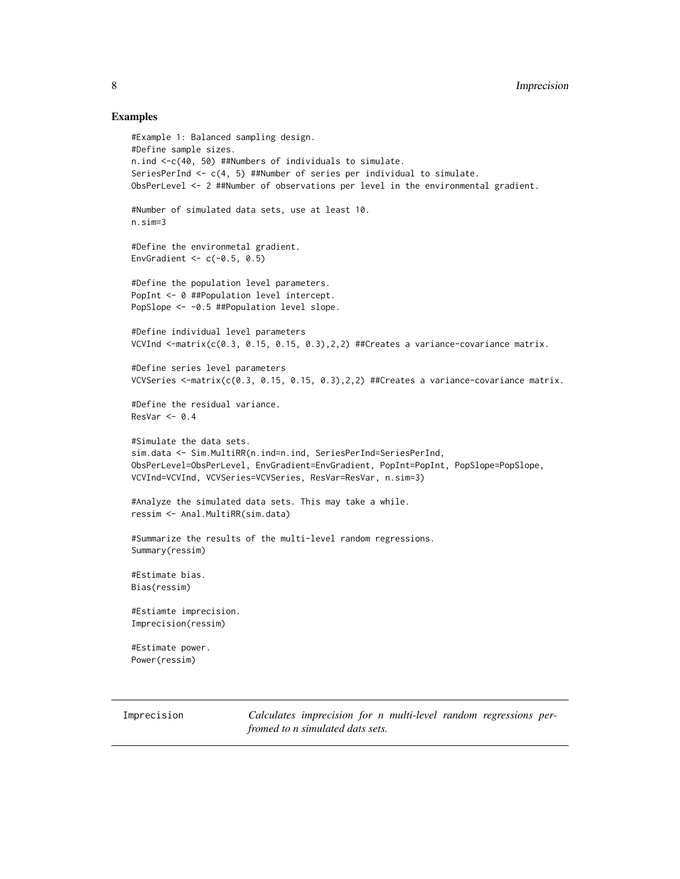## Examples

```
#Example 1: Balanced sampling design.
#Define sample sizes.
n.ind <-c(40, 50) ##Numbers of individuals to simulate.
SeriesPerInd \leq c(4, 5) ##Number of series per individual to simulate.
ObsPerLevel <- 2 ##Number of observations per level in the environmental gradient.
#Number of simulated data sets, use at least 10.
n.sim=3
#Define the environmetal gradient.
EnvGradient <-c(-0.5, 0.5)#Define the population level parameters.
PopInt <- 0 ##Population level intercept.
PopSlope <- -0.5 ##Population level slope.
#Define individual level parameters
VCVInd \leq-matrix(c(0.3, 0.15, 0.15, 0.3),2,2) ##Creates a variance-covariance matrix.
#Define series level parameters
VCVSeries \leq-matrix(c(0.3, 0.15, 0.15, 0.3),2,2) ##Creates a variance-covariance matrix.
#Define the residual variance.
ResVar < -0.4#Simulate the data sets.
sim.data <- Sim.MultiRR(n.ind=n.ind, SeriesPerInd=SeriesPerInd,
ObsPerLevel=ObsPerLevel, EnvGradient=EnvGradient, PopInt=PopInt, PopSlope=PopSlope,
VCVInd=VCVInd, VCVSeries=VCVSeries, ResVar=ResVar, n.sim=3)
#Analyze the simulated data sets. This may take a while.
ressim <- Anal.MultiRR(sim.data)
#Summarize the results of the multi-level random regressions.
Summary(ressim)
#Estimate bias.
Bias(ressim)
#Estiamte imprecision.
Imprecision(ressim)
#Estimate power.
Power(ressim)
```
<span id="page-7-1"></span>Imprecision *Calculates imprecision for n multi-level random regressions perfromed to n simulated dats sets.*

<span id="page-7-0"></span>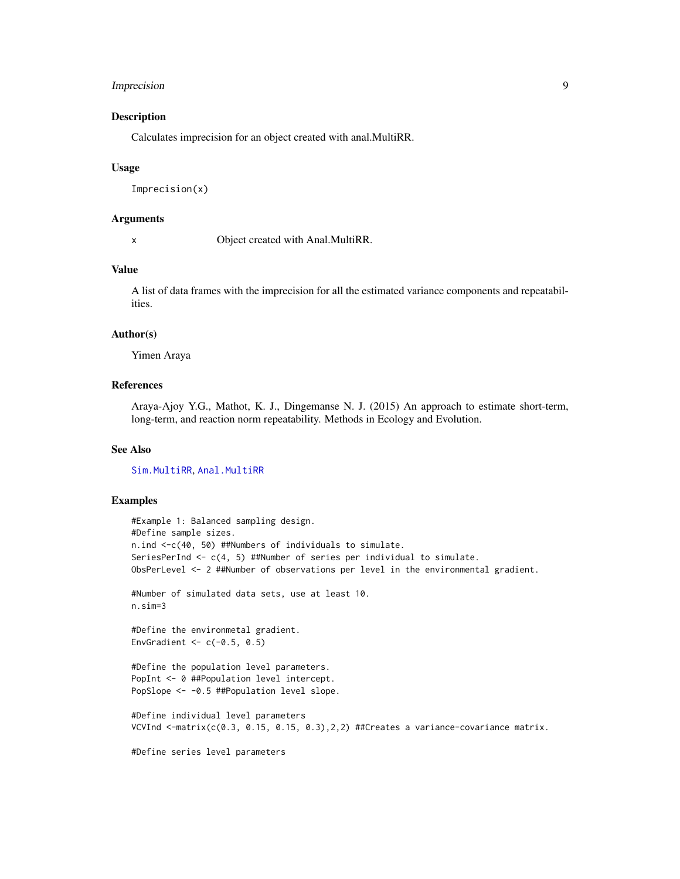## <span id="page-8-0"></span>Imprecision 9

## Description

Calculates imprecision for an object created with anal.MultiRR.

#### Usage

```
Imprecision(x)
```
## Arguments

x Object created with Anal.MultiRR.

## Value

A list of data frames with the imprecision for all the estimated variance components and repeatabilities.

#### Author(s)

Yimen Araya

## References

Araya-Ajoy Y.G., Mathot, K. J., Dingemanse N. J. (2015) An approach to estimate short-term, long-term, and reaction norm repeatability. Methods in Ecology and Evolution.

## See Also

[Sim.MultiRR](#page-12-1), [Anal.MultiRR](#page-3-1)

## Examples

```
#Example 1: Balanced sampling design.
#Define sample sizes.
n.ind <-c(40, 50) ##Numbers of individuals to simulate.
SeriesPerInd <- c(4, 5) ##Number of series per individual to simulate.
ObsPerLevel <- 2 ##Number of observations per level in the environmental gradient.
```

```
#Number of simulated data sets, use at least 10.
n.sim=3
```
#Define the environmetal gradient. EnvGradient  $<-c(-0.5, 0.5)$ 

```
#Define the population level parameters.
PopInt <- 0 ##Population level intercept.
PopSlope <- -0.5 ##Population level slope.
```

```
#Define individual level parameters
VCVInd \leq-matrix(c(0.3, 0.15, 0.15, 0.3), 2, 2) ##Creates a variance-covariance matrix.
```
#Define series level parameters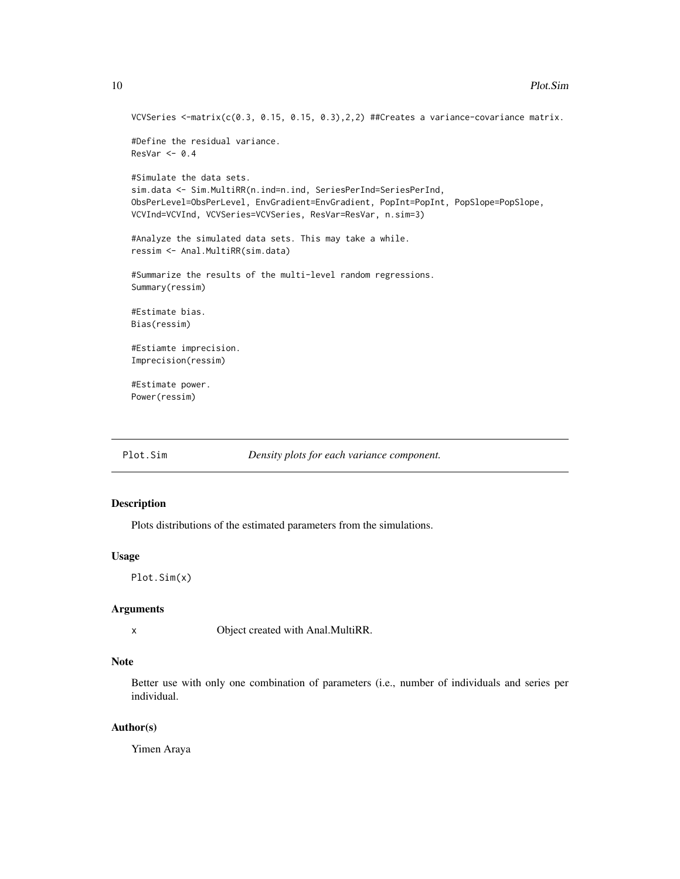```
VCVSeries <-matrix(c(0.3, 0.15, 0.15, 0.3),2,2) ##Creates a variance-covariance matrix.
#Define the residual variance.
ResVar < -0.4#Simulate the data sets.
sim.data <- Sim.MultiRR(n.ind=n.ind, SeriesPerInd=SeriesPerInd,
ObsPerLevel=ObsPerLevel, EnvGradient=EnvGradient, PopInt=PopInt, PopSlope=PopSlope,
VCVInd=VCVInd, VCVSeries=VCVSeries, ResVar=ResVar, n.sim=3)
#Analyze the simulated data sets. This may take a while.
ressim <- Anal.MultiRR(sim.data)
#Summarize the results of the multi-level random regressions.
Summary(ressim)
#Estimate bias.
Bias(ressim)
#Estiamte imprecision.
Imprecision(ressim)
#Estimate power.
Power(ressim)
```
<span id="page-9-1"></span>

Plot.Sim *Density plots for each variance component.*

#### Description

Plots distributions of the estimated parameters from the simulations.

#### Usage

Plot.Sim(x)

#### Arguments

x Object created with Anal.MultiRR.

## Note

Better use with only one combination of parameters (i.e., number of individuals and series per individual.

## Author(s)

Yimen Araya

<span id="page-9-0"></span>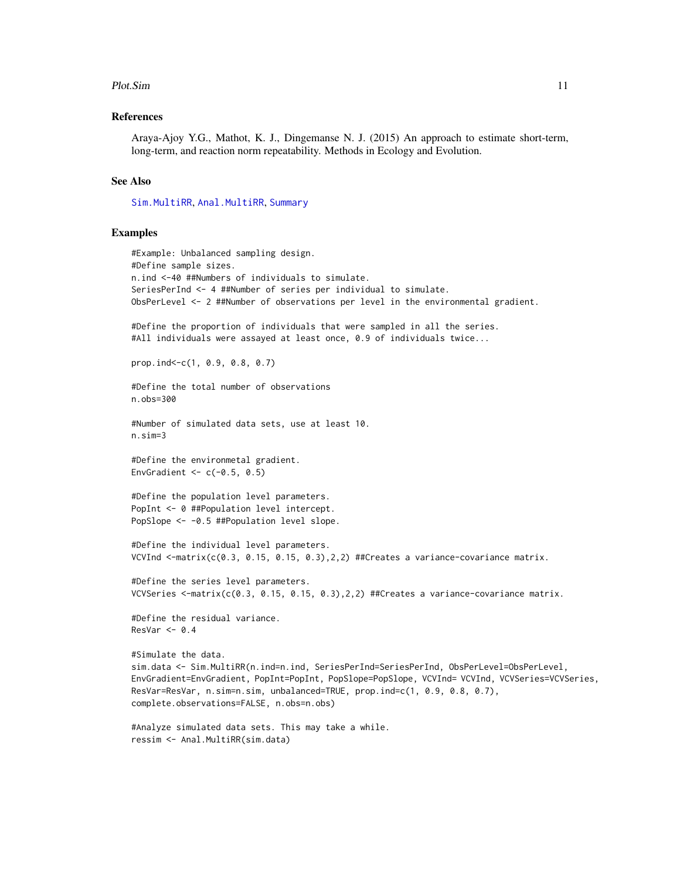#### <span id="page-10-0"></span>Plot.Sim 11

## References

Araya-Ajoy Y.G., Mathot, K. J., Dingemanse N. J. (2015) An approach to estimate short-term, long-term, and reaction norm repeatability. Methods in Ecology and Evolution.

### See Also

[Sim.MultiRR](#page-12-1), [Anal.MultiRR](#page-3-1), [Summary](#page-16-1)

## Examples

```
#Example: Unbalanced sampling design.
#Define sample sizes.
n.ind <-40 ##Numbers of individuals to simulate.
SeriesPerInd <- 4 ##Number of series per individual to simulate.
ObsPerLevel <- 2 ##Number of observations per level in the environmental gradient.
#Define the proportion of individuals that were sampled in all the series.
#All individuals were assayed at least once, 0.9 of individuals twice...
prop.ind<-c(1, 0.9, 0.8, 0.7)
#Define the total number of observations
n.obs=300
#Number of simulated data sets, use at least 10.
n.sim=3
#Define the environmetal gradient.
EnvGradient <-c(-0.5, 0.5)#Define the population level parameters.
PopInt <- 0 ##Population level intercept.
PopSlope <- -0.5 ##Population level slope.
#Define the individual level parameters.
VCVInd \leq-matrix(c(0.3, 0.15, 0.15, 0.3), 2, 2) ##Creates a variance-covariance matrix.
#Define the series level parameters.
VCVSeries <-matrix(c(0.3, 0.15, 0.15, 0.3), 2,2) ##Creates a variance-covariance matrix.
#Define the residual variance.
ResVar < -0.4#Simulate the data.
sim.data <- Sim.MultiRR(n.ind=n.ind, SeriesPerInd=SeriesPerInd, ObsPerLevel=ObsPerLevel,
EnvGradient=EnvGradient, PopInt=PopInt, PopSlope=PopSlope, VCVInd= VCVInd, VCVSeries=VCVSeries,
ResVar=ResVar, n.sim=n.sim, unbalanced=TRUE, prop.ind=c(1, 0.9, 0.8, 0.7),
complete.observations=FALSE, n.obs=n.obs)
#Analyze simulated data sets. This may take a while.
```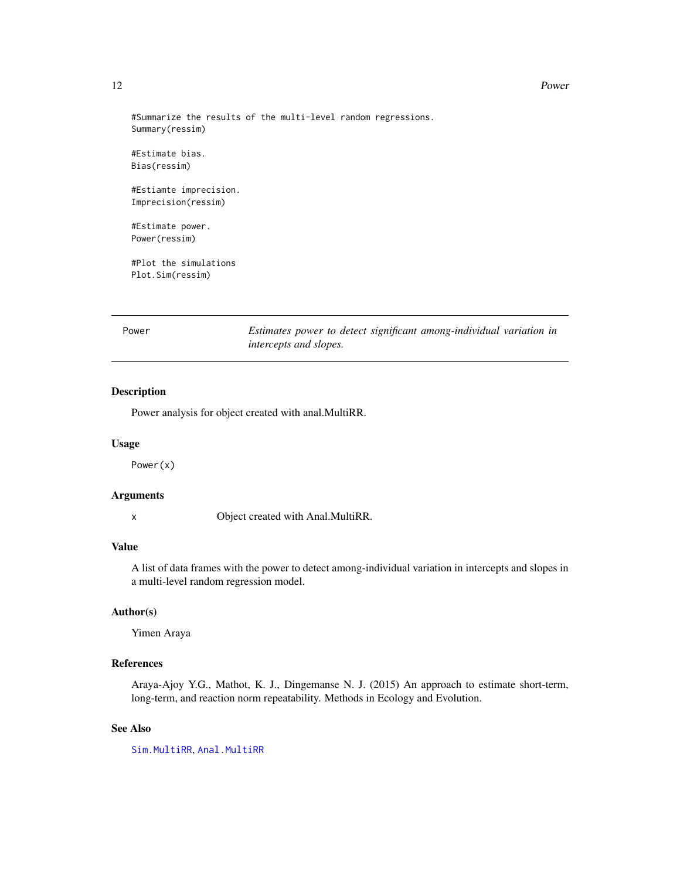#### <span id="page-11-0"></span>12 Power

#Summarize the results of the multi-level random regressions. Summary(ressim)

#Estimate bias. Bias(ressim)

#Estiamte imprecision. Imprecision(ressim)

#Estimate power. Power(ressim)

#Plot the simulations Plot.Sim(ressim)

<span id="page-11-1"></span>Power *Estimates power to detect significant among-individual variation in intercepts and slopes.*

## Description

Power analysis for object created with anal.MultiRR.

#### Usage

Power(x)

## Arguments

x Object created with Anal.MultiRR.

## Value

A list of data frames with the power to detect among-individual variation in intercepts and slopes in a multi-level random regression model.

## Author(s)

Yimen Araya

## References

Araya-Ajoy Y.G., Mathot, K. J., Dingemanse N. J. (2015) An approach to estimate short-term, long-term, and reaction norm repeatability. Methods in Ecology and Evolution.

## See Also

[Sim.MultiRR](#page-12-1), [Anal.MultiRR](#page-3-1)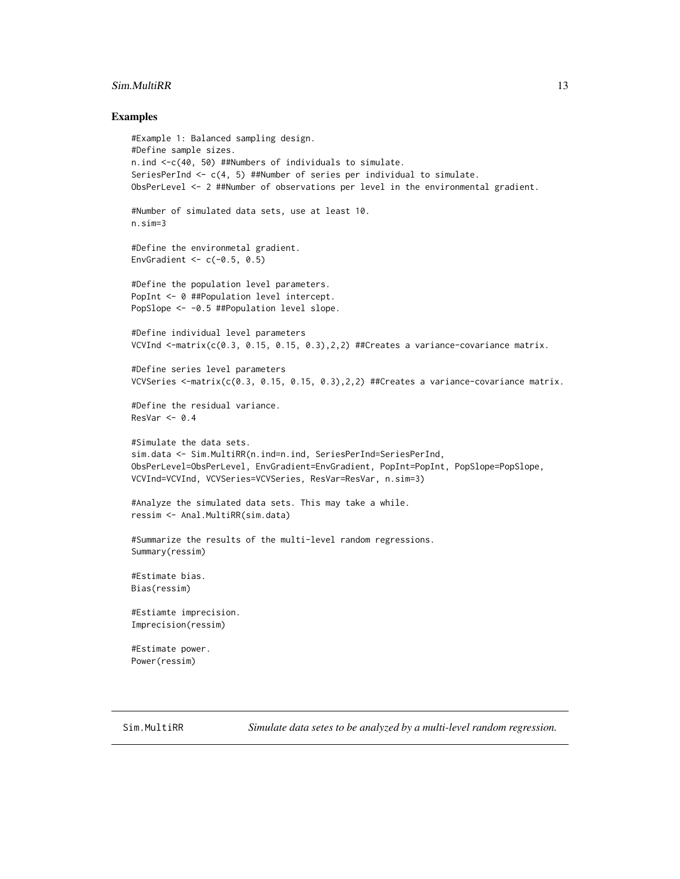#### <span id="page-12-0"></span>Sim.MultiRR 13

#### Examples

```
#Example 1: Balanced sampling design.
#Define sample sizes.
n.ind <-c(40, 50) ##Numbers of individuals to simulate.
SeriesPerInd <- c(4, 5) ##Number of series per individual to simulate.
ObsPerLevel <- 2 ##Number of observations per level in the environmental gradient.
#Number of simulated data sets, use at least 10.
n.sim=3
#Define the environmetal gradient.
EnvGradient <-c(-0.5, 0.5)#Define the population level parameters.
PopInt <- 0 ##Population level intercept.
PopSlope <- -0.5 ##Population level slope.
#Define individual level parameters
VCVInd \le-matrix(c(0.3, 0.15, 0.15, 0.3), 2,2) ##Creates a variance-covariance matrix.
#Define series level parameters
VCVSeries <-matrix(c(0.3, 0.15, 0.15, 0.3), 2,2) ##Creates a variance-covariance matrix.
#Define the residual variance.
ResVar < -0.4#Simulate the data sets.
sim.data <- Sim.MultiRR(n.ind=n.ind, SeriesPerInd=SeriesPerInd,
ObsPerLevel=ObsPerLevel, EnvGradient=EnvGradient, PopInt=PopInt, PopSlope=PopSlope,
VCVInd=VCVInd, VCVSeries=VCVSeries, ResVar=ResVar, n.sim=3)
#Analyze the simulated data sets. This may take a while.
ressim <- Anal.MultiRR(sim.data)
#Summarize the results of the multi-level random regressions.
Summary(ressim)
#Estimate bias.
Bias(ressim)
#Estiamte imprecision.
Imprecision(ressim)
#Estimate power.
Power(ressim)
```
<span id="page-12-1"></span>Sim.MultiRR *Simulate data setes to be analyzed by a multi-level random regression.*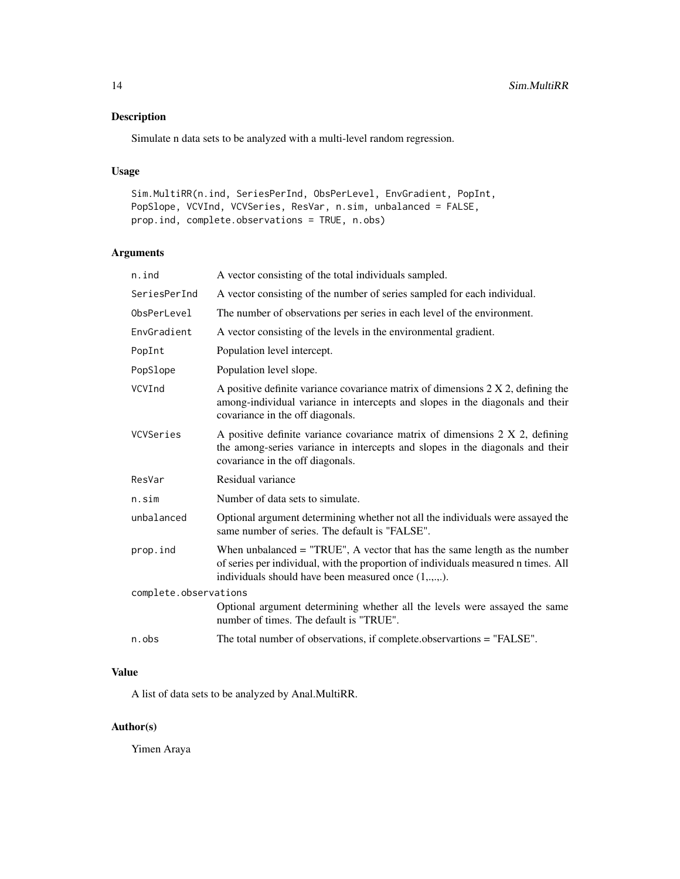## Description

Simulate n data sets to be analyzed with a multi-level random regression.

## Usage

```
Sim.MultiRR(n.ind, SeriesPerInd, ObsPerLevel, EnvGradient, PopInt,
PopSlope, VCVInd, VCVSeries, ResVar, n.sim, unbalanced = FALSE,
prop.ind, complete.observations = TRUE, n.obs)
```
## Arguments

| n.ind                 | A vector consisting of the total individuals sampled.                                                                                                                                                                      |
|-----------------------|----------------------------------------------------------------------------------------------------------------------------------------------------------------------------------------------------------------------------|
| SeriesPerInd          | A vector consisting of the number of series sampled for each individual.                                                                                                                                                   |
| ObsPerLevel           | The number of observations per series in each level of the environment.                                                                                                                                                    |
| EnvGradient           | A vector consisting of the levels in the environmental gradient.                                                                                                                                                           |
| PopInt                | Population level intercept.                                                                                                                                                                                                |
| PopSlope              | Population level slope.                                                                                                                                                                                                    |
| VCVInd                | A positive definite variance covariance matrix of dimensions $2 \times 2$ , defining the<br>among-individual variance in intercepts and slopes in the diagonals and their<br>covariance in the off diagonals.              |
| VCVSeries             | A positive definite variance covariance matrix of dimensions 2 X 2, defining<br>the among-series variance in intercepts and slopes in the diagonals and their<br>covariance in the off diagonals.                          |
| ResVar                | Residual variance                                                                                                                                                                                                          |
| n.sim                 | Number of data sets to simulate.                                                                                                                                                                                           |
| unbalanced            | Optional argument determining whether not all the individuals were assayed the<br>same number of series. The default is "FALSE".                                                                                           |
| prop.ind              | When unbalanced $=$ "TRUE", A vector that has the same length as the number<br>of series per individual, with the proportion of individuals measured n times. All<br>individuals should have been measured once (1,.,.,.). |
| complete.observations |                                                                                                                                                                                                                            |
|                       | Optional argument determining whether all the levels were assayed the same<br>number of times. The default is "TRUE".                                                                                                      |
| n.obs                 | The total number of observations, if complete observartions = "FALSE".                                                                                                                                                     |

## Value

A list of data sets to be analyzed by Anal.MultiRR.

## Author(s)

Yimen Araya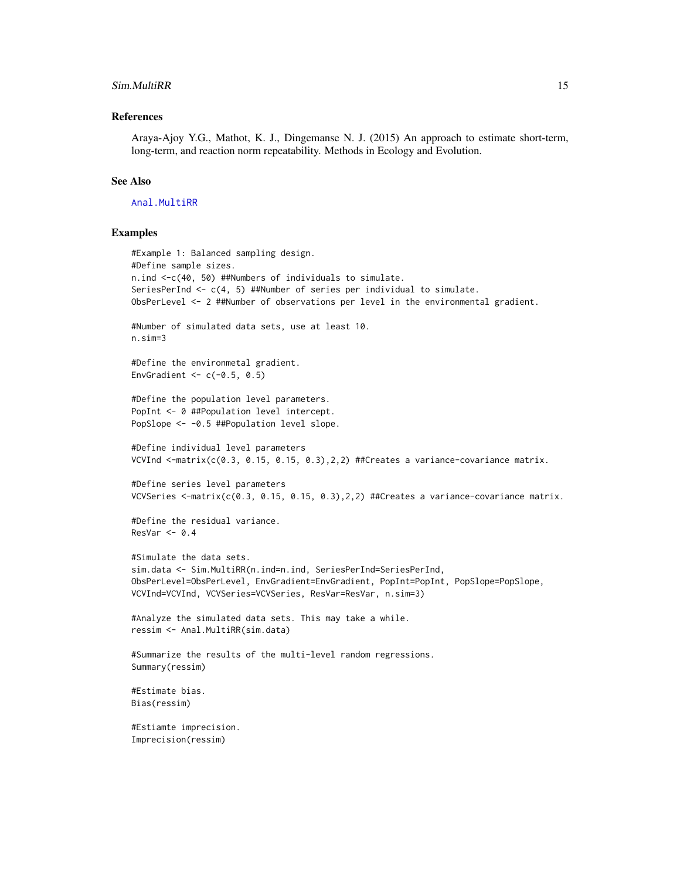#### <span id="page-14-0"></span>Sim.MultiRR 15

## References

Araya-Ajoy Y.G., Mathot, K. J., Dingemanse N. J. (2015) An approach to estimate short-term, long-term, and reaction norm repeatability. Methods in Ecology and Evolution.

## See Also

[Anal.MultiRR](#page-3-1)

### Examples

```
#Example 1: Balanced sampling design.
#Define sample sizes.
n.ind <-c(40, 50) ##Numbers of individuals to simulate.
SeriesPerInd <- c(4, 5) ##Number of series per individual to simulate.
ObsPerLevel <- 2 ##Number of observations per level in the environmental gradient.
#Number of simulated data sets, use at least 10.
n.sim=3
#Define the environmetal gradient.
EnvGradient \leq c(-0.5, 0.5)
#Define the population level parameters.
PopInt <- 0 ##Population level intercept.
PopSlope <- -0.5 ##Population level slope.
#Define individual level parameters
VCVInd \leq-matrix(c(0.3, 0.15, 0.15, 0.3), 2, 2) ##Creates a variance-covariance matrix.
#Define series level parameters
VCVSeries <- matrix(c(0.3, 0.15, 0.15, 0.3), 2, 2) ##Creates a variance-covariance matrix.
#Define the residual variance.
ResVar < -0.4#Simulate the data sets.
sim.data <- Sim.MultiRR(n.ind=n.ind, SeriesPerInd=SeriesPerInd,
ObsPerLevel=ObsPerLevel, EnvGradient=EnvGradient, PopInt=PopInt, PopSlope=PopSlope,
VCVInd=VCVInd, VCVSeries=VCVSeries, ResVar=ResVar, n.sim=3)
#Analyze the simulated data sets. This may take a while.
ressim <- Anal.MultiRR(sim.data)
#Summarize the results of the multi-level random regressions.
Summary(ressim)
#Estimate bias.
Bias(ressim)
#Estiamte imprecision.
Imprecision(ressim)
```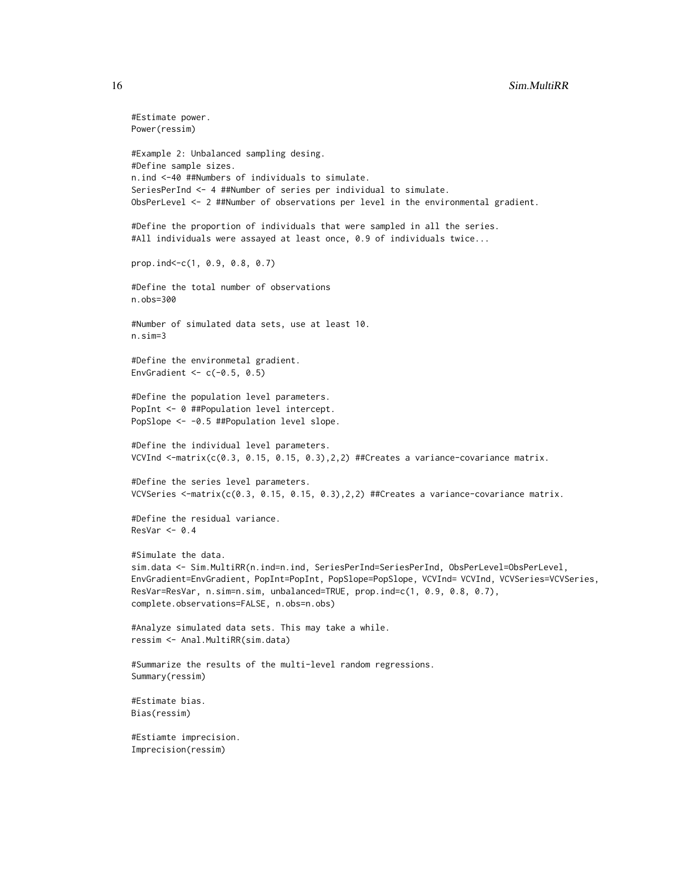```
#Estimate power.
Power(ressim)
#Example 2: Unbalanced sampling desing.
#Define sample sizes.
n.ind <-40 ##Numbers of individuals to simulate.
SeriesPerInd <- 4 ##Number of series per individual to simulate.
ObsPerLevel <- 2 ##Number of observations per level in the environmental gradient.
#Define the proportion of individuals that were sampled in all the series.
#All individuals were assayed at least once, 0.9 of individuals twice...
prop.ind<-c(1, 0.9, 0.8, 0.7)
#Define the total number of observations
n.obs=300
#Number of simulated data sets, use at least 10.
n.sim=3
#Define the environmetal gradient.
EnvGradient <-c(-0.5, 0.5)#Define the population level parameters.
PopInt <- 0 ##Population level intercept.
PopSlope <- -0.5 ##Population level slope.
#Define the individual level parameters.
VCVInd <-matrix(c(0.3, 0.15, 0.15, 0.3),2,2) ##Creates a variance-covariance matrix.
#Define the series level parameters.
VCVSeries <-matrix(c(0.3, 0.15, 0.15, 0.3),2,2) ##Creates a variance-covariance matrix.
#Define the residual variance.
ResVar < -0.4#Simulate the data.
sim.data <- Sim.MultiRR(n.ind=n.ind, SeriesPerInd=SeriesPerInd, ObsPerLevel=ObsPerLevel,
EnvGradient=EnvGradient, PopInt=PopInt, PopSlope=PopSlope, VCVInd= VCVInd, VCVSeries=VCVSeries,
ResVar=ResVar, n.sim=n.sim, unbalanced=TRUE, prop.ind=c(1, 0.9, 0.8, 0.7),
complete.observations=FALSE, n.obs=n.obs)
#Analyze simulated data sets. This may take a while.
ressim <- Anal.MultiRR(sim.data)
#Summarize the results of the multi-level random regressions.
Summary(ressim)
#Estimate bias.
Bias(ressim)
#Estiamte imprecision.
Imprecision(ressim)
```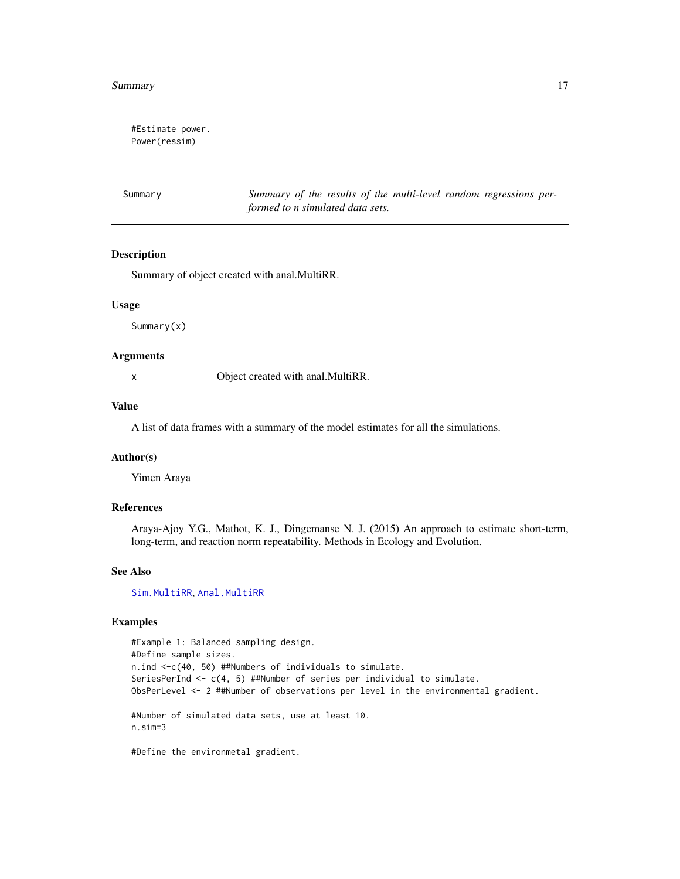#### <span id="page-16-0"></span>Summary 2012 and 2012 and 2012 and 2012 and 2012 and 2012 and 2012 and 2012 and 2012 and 2012 and 2013 and 201

#Estimate power. Power(ressim)

<span id="page-16-1"></span>Summary *Summary of the results of the multi-level random regressions performed to n simulated data sets.*

## Description

Summary of object created with anal.MultiRR.

## Usage

Summary(x)

#### Arguments

x Object created with anal.MultiRR.

#### Value

A list of data frames with a summary of the model estimates for all the simulations.

## Author(s)

Yimen Araya

## References

Araya-Ajoy Y.G., Mathot, K. J., Dingemanse N. J. (2015) An approach to estimate short-term, long-term, and reaction norm repeatability. Methods in Ecology and Evolution.

#### See Also

[Sim.MultiRR](#page-12-1), [Anal.MultiRR](#page-3-1)

## Examples

#Example 1: Balanced sampling design. #Define sample sizes. n.ind <-c(40, 50) ##Numbers of individuals to simulate. SeriesPerInd <- c(4, 5) ##Number of series per individual to simulate. ObsPerLevel <- 2 ##Number of observations per level in the environmental gradient. #Number of simulated data sets, use at least 10. n.sim=3

#Define the environmetal gradient.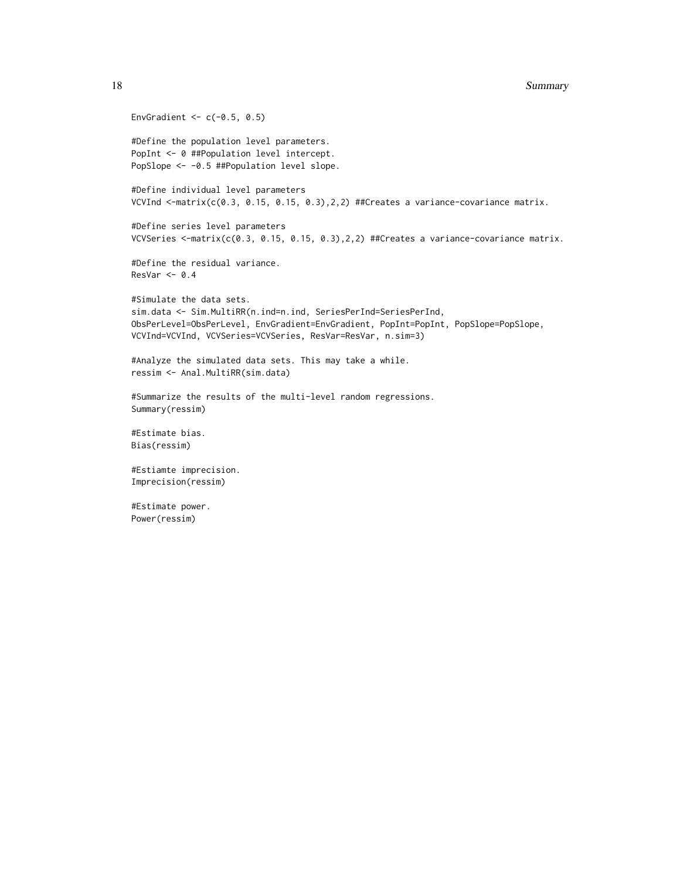```
EnvGradient <-c(-0.5, 0.5)#Define the population level parameters.
PopInt <- 0 ##Population level intercept.
PopSlope <- -0.5 ##Population level slope.
#Define individual level parameters
VCVInd \le-matrix(c(0.3, 0.15, 0.15, 0.3),2,2) ##Creates a variance-covariance matrix.
#Define series level parameters
VCVSeries <-matrix(c(0.3, 0.15, 0.15, 0.3), 2,2) ##Creates a variance-covariance matrix.
#Define the residual variance.
ResVar < 0.4#Simulate the data sets.
sim.data <- Sim.MultiRR(n.ind=n.ind, SeriesPerInd=SeriesPerInd,
ObsPerLevel=ObsPerLevel, EnvGradient=EnvGradient, PopInt=PopInt, PopSlope=PopSlope,
VCVInd=VCVInd, VCVSeries=VCVSeries, ResVar=ResVar, n.sim=3)
#Analyze the simulated data sets. This may take a while.
ressim <- Anal.MultiRR(sim.data)
#Summarize the results of the multi-level random regressions.
Summary(ressim)
#Estimate bias.
Bias(ressim)
#Estiamte imprecision.
Imprecision(ressim)
#Estimate power.
Power(ressim)
```